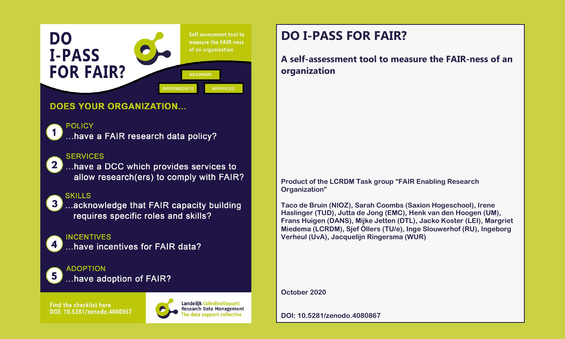

### **DOES YOUR ORGANIZATION...**

# **POLICY**

...have a FAIR research data policy?

#### **SERVICES**

...have a DCC which provides services to allow research(ers) to comply with FAIR?

## **SKILLS**

...acknowledge that FAIR capacity building requires specific roles and skills?

# **INCENTIVES**

have incentives for FAIR data?

 $\overline{3}$ 

**ADOPTION** ..have adoption of FAIR?

**Find the checklist here** DOI: 10.5281/zenodo.4080867



Landelijk Coördinatiepunt Research Data Management data support collective

# **DO I-PASS FOR FAIR?**

**A self-assessment tool to measure the FAIR-ness of an organization**

**Product of the LCRDM Task group "FAIR Enabling Research Organization"** 

**Taco de Bruin (NIOZ), Sarah Coombs (Saxion Hogeschool), Irene Haslinger (TUD), Jutta de Jong (EMC), Henk van den Hoogen (UM), Frans Huigen (DANS), Mijke Jetten (DTL), Jacko Koster (LEI), Margriet Miedema (LCRDM), Sjef Öllers (TU/e), Inge Slouwerhof (RU), Ingeborg Verheul (UvA), Jacquelijn Ringersma (WUR)** 

**October 2020**

**DOI: 10.5281/zenodo.4080867**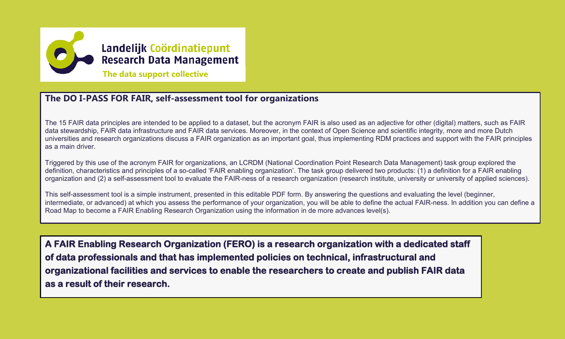

## **The DO I-PASS FOR FAIR, self-assessment tool for organizations**

The 15 FAIR data principles are intended to be applied to a dataset, but the acronym FAIR is also used as an adjective for other (digital) matters, such as FAIR data stewardship, FAIR data infrastructure and FAIR data services. Moreover, in the context of Open Science and scientific integrity, more and more Dutch universities and research organizations discuss a FAIR organization as an important goal, thus implementing RDM practices and support with the FAIR principles as a main driver.

Triggered by this use of the acronym FAIR for organizations, an LCRDM (National Coordination Point Research Data Management) task group explored the definition, characteristics and principles of a so-called 'FAIR enabling organization'. The task group delivered two products: (1) a definition for a FAIR enabling organization and (2) a self-assessment tool to evaluate the FAIR-ness of a research organization (research institute, university or university of applied sciences).

This self-assessment tool is a simple instrument, presented in this editable PDF form. By answering the questions and evaluating the level (beginner, intermediate, or advanced) at which you assess the performance of your organization, you will be able to define the actual FAIR-ness. In addition you can define a Road Map to become a FAIR Enabling Research Organization using the information in de more advances level(s).

**A FAIR Enabling Research Organization (FERO) is a research organization with a dedicated staff of data professionals and that has implemented policies on technical, infrastructural and organizational facilities and services to enable the researchers to create and publish FAIR data as a result of their research.**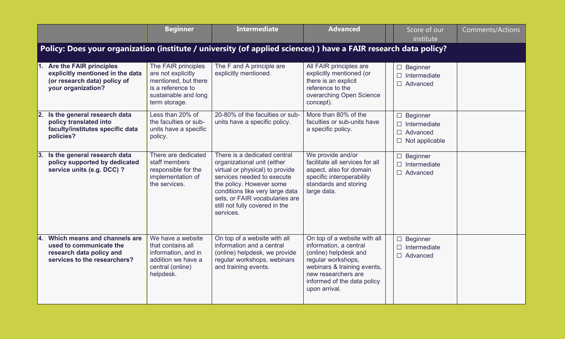|           |                                                                                                                     | <b>Beginner</b>                                                                                                                 | <b>Intermediate</b>                                                                                                                                                                                                                                                          | <b>Advanced</b>                                                                                                                                                                                             | Score of our<br>institute                                                          | Comments/Actions |  |  |  |  |
|-----------|---------------------------------------------------------------------------------------------------------------------|---------------------------------------------------------------------------------------------------------------------------------|------------------------------------------------------------------------------------------------------------------------------------------------------------------------------------------------------------------------------------------------------------------------------|-------------------------------------------------------------------------------------------------------------------------------------------------------------------------------------------------------------|------------------------------------------------------------------------------------|------------------|--|--|--|--|
|           | Policy: Does your organization (institute / university (of applied sciences)) have a FAIR research data policy?     |                                                                                                                                 |                                                                                                                                                                                                                                                                              |                                                                                                                                                                                                             |                                                                                    |                  |  |  |  |  |
| 1.        | Are the FAIR principles<br>explicitly mentioned in the data<br>(or research data) policy of<br>your organization?   | The FAIR principles<br>are not explicitly<br>mentioned, but there<br>is a reference to<br>sustainable and long<br>term storage. | The F and A principle are<br>explicitly mentioned.                                                                                                                                                                                                                           | All FAIR principles are<br>explicitly mentioned (or<br>there is an explicit<br>reference to the<br>overarching Open Science<br>concept).                                                                    | $\Box$ Beginner<br>Intermediate<br>$\Box$<br>$\Box$ Advanced                       |                  |  |  |  |  |
| <b>2.</b> | Is the general research data<br>policy translated into<br>faculty/institutes specific data<br>policies?             | Less than 20% of<br>the faculties or sub-<br>units have a specific<br>policy.                                                   | 20-80% of the faculties or sub-<br>units have a specific policy.                                                                                                                                                                                                             | More than 80% of the<br>faculties or sub-units have<br>a specific policy.                                                                                                                                   | $\Box$ Beginner<br>$\Box$ Intermediate<br>$\Box$ Advanced<br>$\Box$ Not applicable |                  |  |  |  |  |
| 3.        | Is the general research data<br>policy supported by dedicated<br>service units (e.g. DCC) ?                         | There are dedicated<br>staff members<br>responsible for the<br>implementation of<br>the services.                               | There is a dedicated central<br>organizational unit (either<br>virtual or physical) to provide<br>services needed to execute<br>the policy. However some<br>conditions like very large data<br>sets, or FAIR vocabularies are<br>still not fully covered in the<br>services. | We provide and/or<br>facilitate all services for all<br>aspect, also for domain<br>specific interoperability<br>standards and storing<br>large data.                                                        | $\Box$ Beginner<br>$\Box$<br>Intermediate<br>$\Box$ Advanced                       |                  |  |  |  |  |
| 14.       | Which means and channels are<br>used to communicate the<br>research data policy and<br>services to the researchers? | We have a website<br>that contains all<br>information, and in<br>addition we have a<br>central (online)<br>helpdesk.            | On top of a website with all<br>information and a central<br>(online) helpdesk, we provide<br>regular workshops, webinars<br>and training events.                                                                                                                            | On top of a website with all<br>information, a central<br>(online) helpdesk and<br>regular workshops,<br>webinars & training events,<br>new researchers are<br>informed of the data policy<br>upon arrival. | $\Box$<br><b>Beginner</b><br>$\Box$<br>Intermediate<br>$\Box$ Advanced             |                  |  |  |  |  |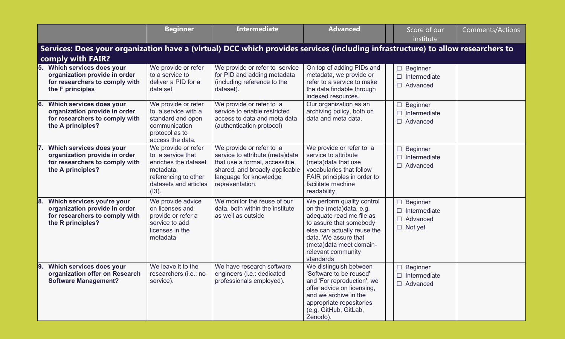|                                                                                                                                         | <b>Beginner</b>                                                                                                                            | <b>Intermediate</b>                                                                                                                                                          | <b>Advanced</b>                                                                                                                                                                                                                   | Score of our<br>institute                                                   | Comments/Actions |  |  |  |
|-----------------------------------------------------------------------------------------------------------------------------------------|--------------------------------------------------------------------------------------------------------------------------------------------|------------------------------------------------------------------------------------------------------------------------------------------------------------------------------|-----------------------------------------------------------------------------------------------------------------------------------------------------------------------------------------------------------------------------------|-----------------------------------------------------------------------------|------------------|--|--|--|
| Services: Does your organization have a (virtual) DCC which provides services (including infrastructure) to allow researchers to        |                                                                                                                                            |                                                                                                                                                                              |                                                                                                                                                                                                                                   |                                                                             |                  |  |  |  |
| comply with FAIR?<br>5. Which services does your<br>organization provide in order<br>for researchers to comply with<br>the F principles | We provide or refer<br>to a service to<br>deliver a PID for a<br>data set                                                                  | We provide or refer to service<br>for PID and adding metadata<br>(including reference to the<br>dataset).                                                                    | On top of adding PIDs and<br>metadata, we provide or<br>refer to a service to make<br>the data findable through<br>indexed resources.                                                                                             | $\Box$ Beginner<br>Intermediate<br>П<br>Advanced<br>$\Box$                  |                  |  |  |  |
| Which services does your<br>6.<br>organization provide in order<br>for researchers to comply with<br>the A principles?                  | We provide or refer<br>to a service with a<br>standard and open<br>communication<br>protocol as to<br>access the data.                     | We provide or refer to a<br>service to enable restricted<br>access to data and meta data<br>(authentication protocol)                                                        | Our organization as an<br>archiving policy, both on<br>data and meta data.                                                                                                                                                        | $\Box$ Beginner<br>Intermediate<br>$\Box$ Advanced                          |                  |  |  |  |
| Which services does your<br>7.<br>organization provide in order<br>for researchers to comply with<br>the A principles?                  | We provide or refer<br>to a service that<br>enriches the dataset<br>metadata,<br>referencing to other<br>datasets and articles<br>$(13)$ . | We provide or refer to a<br>service to attribute (meta)data<br>that use a formal, accessible,<br>shared, and broadly applicable<br>language for knowledge<br>representation. | We provide or refer to a<br>service to attribute<br>(meta)data that use<br>vocabularies that follow<br>FAIR principles in order to<br>facilitate machine<br>readability.                                                          | $\Box$ Beginner<br>Intermediate<br>П<br>П<br>Advanced                       |                  |  |  |  |
| Which services you're your<br>8.<br>organization provide in order<br>for researchers to comply with<br>the R principles?                | We provide advice<br>on licenses and<br>provide or refer a<br>service to add<br>licenses in the<br>metadata                                | We monitor the reuse of our<br>data, both within the institute<br>as well as outside                                                                                         | We perform quality control<br>on the (meta)data, e.g.<br>adequate read me file as<br>to assure that somebody<br>else can actually reuse the<br>data. We assure that<br>(meta)data meet domain-<br>relevant community<br>standards | $\Box$ Beginner<br>$\Box$ Intermediate<br>$\Box$ Advanced<br>$\Box$ Not yet |                  |  |  |  |
| 9.<br>Which services does your<br>organization offer on Research<br><b>Software Management?</b>                                         | We leave it to the<br>researchers (i.e.: no<br>service).                                                                                   | We have research software<br>engineers (i.e.: dedicated<br>professionals employed).                                                                                          | We distinguish between<br>'Software to be reused'<br>and 'For reproduction'; we<br>offer advice on licensing,<br>and we archive in the<br>appropriate repositories<br>(e.g. GitHub, GitLab,<br>Zenodo).                           | $\Box$ Beginner<br>Intermediate<br>П<br>$\Box$ Advanced                     |                  |  |  |  |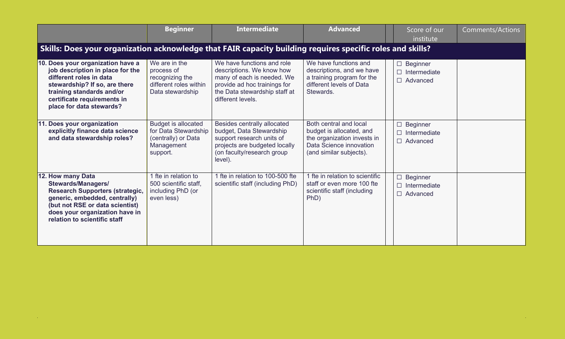|                                                                                                                                                                                                                                | <b>Beginner</b>                                                                                     | <b>Intermediate</b>                                                                                                                                                         | <b>Advanced</b>                                                                                                                         |  | Score of our<br>institute                                       | <b>Comments/Actions</b> |  |  |
|--------------------------------------------------------------------------------------------------------------------------------------------------------------------------------------------------------------------------------|-----------------------------------------------------------------------------------------------------|-----------------------------------------------------------------------------------------------------------------------------------------------------------------------------|-----------------------------------------------------------------------------------------------------------------------------------------|--|-----------------------------------------------------------------|-------------------------|--|--|
| Skills: Does your organization acknowledge that FAIR capacity building requires specific roles and skills?                                                                                                                     |                                                                                                     |                                                                                                                                                                             |                                                                                                                                         |  |                                                                 |                         |  |  |
| 10. Does your organization have a<br>job description in place for the<br>different roles in data<br>stewardship? If so, are there<br>training standards and/or<br>certificate requirements in<br>place for data stewards?      | We are in the<br>process of<br>recognizing the<br>different roles within<br>Data stewardship        | We have functions and role<br>descriptions. We know how<br>many of each is needed. We<br>provide ad hoc trainings for<br>the Data stewardship staff at<br>different levels. | We have functions and<br>descriptions, and we have<br>a training program for the<br>different levels of Data<br>Stewards.               |  | $\Box$ Beginner<br>Intermediate<br>$\Box$<br>Advanced           |                         |  |  |
| 11. Does your organization<br>explicitly finance data science<br>and data stewardship roles?                                                                                                                                   | <b>Budget is allocated</b><br>for Data Stewardship<br>(centrally) or Data<br>Management<br>support. | Besides centrally allocated<br>budget, Data Stewardship<br>support research units of<br>projects are budgeted locally<br>(on faculty/research group<br>level).              | Both central and local<br>budget is allocated, and<br>the organization invests in<br>Data Science innovation<br>(and similar subjects). |  | <b>Beginner</b><br>$\Box$<br>Intermediate<br>$\Box$<br>Advanced |                         |  |  |
| 12. How many Data<br><b>Stewards/Managers/</b><br><b>Research Supporters (strategic,</b><br>generic, embedded, centrally)<br>(but not RSE or data scientist)<br>does your organization have in<br>relation to scientific staff | 1 fte in relation to<br>500 scientific staff.<br>including PhD (or<br>even less)                    | 1 fte in relation to 100-500 fte<br>scientific staff (including PhD)                                                                                                        | 1 fte in relation to scientific<br>staff or even more 100 fte<br>scientific staff (including<br>PhD)                                    |  | <b>Beginner</b><br>$\Box$<br>Intermediate<br>П<br>П<br>Advanced |                         |  |  |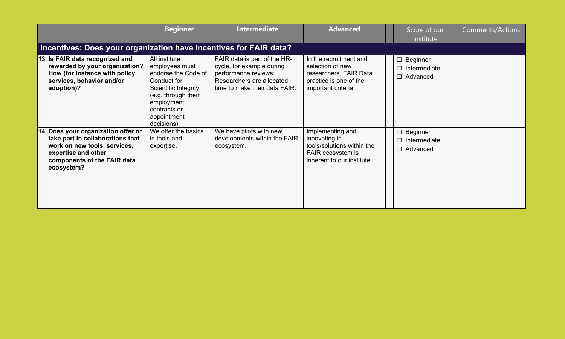|                                                                                                                                                                             | <b>Beginner</b>                                                                                                                                                                  | <b>Intermediate</b>                                                                                                                             | <b>Advanced</b>                                                                                                       | Score of our<br>institute                                          | Comments/Actions |  |  |  |  |
|-----------------------------------------------------------------------------------------------------------------------------------------------------------------------------|----------------------------------------------------------------------------------------------------------------------------------------------------------------------------------|-------------------------------------------------------------------------------------------------------------------------------------------------|-----------------------------------------------------------------------------------------------------------------------|--------------------------------------------------------------------|------------------|--|--|--|--|
| Incentives: Does your organization have incentives for FAIR data?                                                                                                           |                                                                                                                                                                                  |                                                                                                                                                 |                                                                                                                       |                                                                    |                  |  |  |  |  |
| 13. Is FAIR data recognized and<br>rewarded by your organization?<br>How (for instance with policy,<br>services, behavior and/or<br>adoption)?                              | All institute<br>employees must<br>endorse the Code of<br>Conduct for<br>Scientific Integrity<br>(e.g. through their<br>employment<br>contracts or<br>appointment<br>decisions). | FAIR data is part of the HR-<br>cycle, for example during<br>performance reviews.<br>Researchers are allocated<br>time to make their data FAIR. | In the recruitment and<br>selection of new<br>researchers, FAIR Data<br>practice is one of the<br>important criteria. | Beginner<br>$\Box$<br>$\Box$<br>Intermediate<br>$\Box$<br>Advanced |                  |  |  |  |  |
| 14. Does your organization offer or<br>take part in collaborations that<br>work on new tools, services,<br>expertise and other<br>components of the FAIR data<br>ecosystem? | We offer the basics<br>in tools and<br>expertise.                                                                                                                                | We have pilots with new<br>developments within the FAIR<br>ecosystem.                                                                           | Implementing and<br>innovating in<br>tools/solutions within the<br>FAIR ecosystem is<br>inherent to our institute.    | $\Box$<br>Beginner<br>Intermediate<br>П<br>$\Box$<br>Advanced      |                  |  |  |  |  |

 $\sim 10^7$ 

 $\sim 10^{-1}$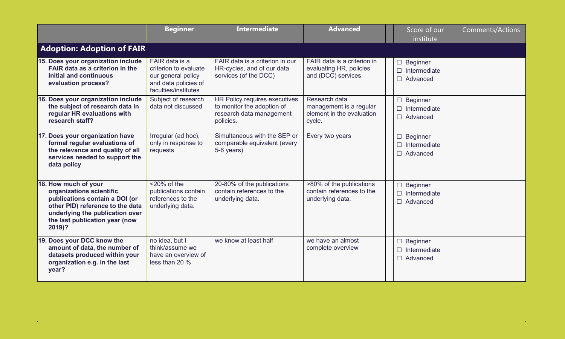|                                                                                                                                                                                                       | <b>Beginner</b>                                                                                               | <b>Intermediate</b>                                                                                  | <b>Advanced</b>                                                                 | Score of our<br>institute                                                 | <b>Comments/Actions</b> |  |  |  |  |
|-------------------------------------------------------------------------------------------------------------------------------------------------------------------------------------------------------|---------------------------------------------------------------------------------------------------------------|------------------------------------------------------------------------------------------------------|---------------------------------------------------------------------------------|---------------------------------------------------------------------------|-------------------------|--|--|--|--|
| <b>Adoption: Adoption of FAIR</b>                                                                                                                                                                     |                                                                                                               |                                                                                                      |                                                                                 |                                                                           |                         |  |  |  |  |
| 15. Does your organization include<br>FAIR data as a criterion in the<br>initial and continuous<br>evaluation process?                                                                                | FAIR data is a<br>criterion to evaluate<br>our general policy<br>and data policies of<br>faculties/institutes | FAIR data is a criterion in our<br>HR-cycles, and of our data<br>services (of the DCC)               | FAIR data is a criterion in<br>evaluating HR, policies<br>and (DCC) services    | $\Box$ Beginner<br>Intermediate<br>$\Box$<br>Advanced                     |                         |  |  |  |  |
| 16. Does your organization include<br>the subject of research data in<br>regular HR evaluations with<br>research staff?                                                                               | Subject of research<br>data not discussed                                                                     | HR Policy requires executives<br>to monitor the adoption of<br>research data management<br>policies. | Research data<br>management is a regular<br>element in the evaluation<br>cycle. | <b>Beginner</b><br>$\Box$<br>Intermediate<br>$\Box$<br>Advanced           |                         |  |  |  |  |
| 17. Does your organization have<br>formal regular evaluations of<br>the relevance and quality of all<br>services needed to support the<br>data policy                                                 | Irregular (ad hoc),<br>only in response to<br>requests                                                        | Simultaneous with the SEP or<br>comparable equivalent (every<br>5-6 years)                           | Every two years                                                                 | Beginner<br>$\Box$<br>Intermediate<br>$\Box$<br>$\Box$<br>Advanced        |                         |  |  |  |  |
| 18. How much of your<br>organizations scientific<br>publications contain a DOI (or<br>other PID) reference to the data<br>underlying the publication over<br>the last publication year (now<br>2019)? | $<$ 20% of the<br>publications contain<br>references to the<br>underlying data.                               | 20-80% of the publications<br>contain references to the<br>underlying data.                          | >80% of the publications<br>contain references to the<br>underlying data.       | <b>Beginner</b><br>$\Box$<br>Intermediate<br>$\Box$<br>$\Box$<br>Advanced |                         |  |  |  |  |
| 19. Does your DCC know the<br>amount of data, the number of<br>datasets produced within your<br>organization e.g. in the last<br>year?                                                                | no idea, but I<br>think/assume we<br>have an overview of<br>less than 20 %                                    | we know at least half                                                                                | we have an almost<br>complete overview                                          | Beginner<br>$\Box$<br>Intermediate<br>П<br>$\Box$<br>Advanced             |                         |  |  |  |  |

**College**